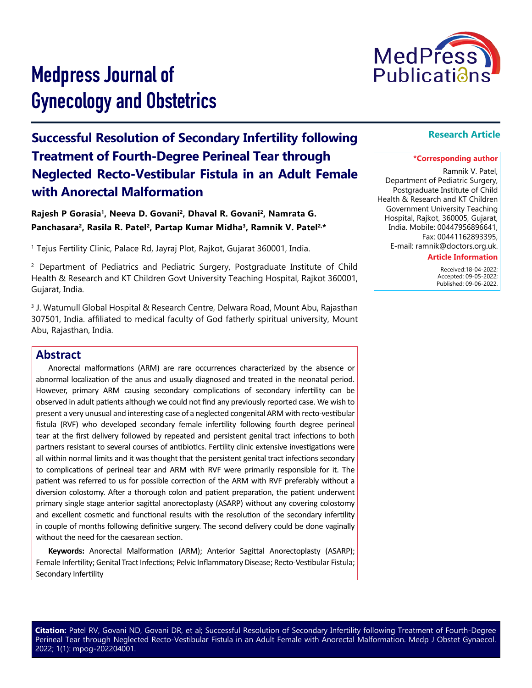

# Medpress Journal of Gynecology and Obstetrics

## **Successful Resolution of Secondary Infertility following Treatment of Fourth-Degree Perineal Tear through Neglected Recto-Vestibular Fistula in an Adult Female with Anorectal Malformation**

Rajesh P Gorasia<sup>1</sup>, Neeva D. Govani<sup>2</sup>, Dhaval R. Govani<sup>2</sup>, Namrata G. Panchasara<sup>2</sup>, Rasila R. Patel<sup>2</sup>, Partap Kumar Midha<sup>3</sup>, Ramnik V. Patel<sup>2,\*</sup>

<sup>1</sup> Tejus Fertility Clinic, Palace Rd, Jayraj Plot, Rajkot, Gujarat 360001, India.

<sup>2</sup> Department of Pediatrics and Pediatric Surgery, Postgraduate Institute of Child Health & Research and KT Children Govt University Teaching Hospital, Rajkot 360001, Gujarat, India.

3 J. Watumull Global Hospital & Research Centre, Delwara Road, Mount Abu, Rajasthan 307501, India. affiliated to medical faculty of God fatherly spiritual university, Mount Abu, Rajasthan, India.

### **Abstract**

Anorectal malformations (ARM) are rare occurrences characterized by the absence or abnormal localization of the anus and usually diagnosed and treated in the neonatal period. However, primary ARM causing secondary complications of secondary infertility can be observed in adult patients although we could not find any previously reported case. We wish to present a very unusual and interesting case of a neglected congenital ARM with recto-vestibular fistula (RVF) who developed secondary female infertility following fourth degree perineal tear at the first delivery followed by repeated and persistent genital tract infections to both partners resistant to several courses of antibiotics. Fertility clinic extensive investigations were all within normal limits and it was thought that the persistent genital tract infections secondary to complications of perineal tear and ARM with RVF were primarily responsible for it. The patient was referred to us for possible correction of the ARM with RVF preferably without a diversion colostomy. After a thorough colon and patient preparation, the patient underwent primary single stage anterior sagittal anorectoplasty (ASARP) without any covering colostomy and excellent cosmetic and functional results with the resolution of the secondary infertility in couple of months following definitive surgery. The second delivery could be done vaginally without the need for the caesarean section.

**Keywords:** Anorectal Malformation (ARM); Anterior Sagittal Anorectoplasty (ASARP); Female Infertility; Genital Tract Infections; Pelvic Inflammatory Disease; Recto-Vestibular Fistula; Secondary Infertility

#### **Research Article**

#### **\*Corresponding author**

Ramnik V. Patel, Department of Pediatric Surgery, Postgraduate Institute of Child Health & Research and KT Children Government University Teaching Hospital, Rajkot, 360005, Gujarat, India. Mobile: 00447956896641, Fax: 00441162893395,

E-mail: ramnik@doctors.org.uk.

#### **Article Information**

 Received:18-04-2022; Accepted: 09-05-2022; Published: 09-06-2022.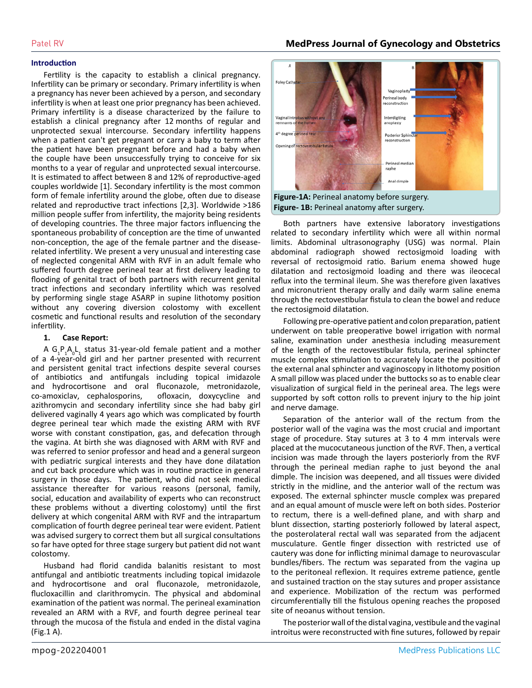#### **Introduction**

Fertility is the capacity to establish a clinical pregnancy. Infertility can be primary or secondary. Primary infertility is when a pregnancy has never been achieved by a person, and secondary infertility is when at least one prior pregnancy has been achieved. Primary infertility is a disease characterized by the failure to establish a clinical pregnancy after 12 months of regular and unprotected sexual intercourse. Secondary infertility happens when a patient can't get pregnant or carry a baby to term after the patient have been pregnant before and had a baby when the couple have been unsuccessfully trying to conceive for six months to a year of regular and unprotected sexual intercourse. It is estimated to affect between 8 and 12% of reproductive-aged couples worldwide [1]. Secondary infertility is the most common form of female infertility around the globe, often due to disease related and reproductive tract infections [2,3]. Worldwide >186 million people suffer from infertility, the majority being residents of developing countries. The three major factors influencing the spontaneous probability of conception are the time of unwanted non-conception, the age of the female partner and the diseaserelated infertility. We present a very unusual and interesting case of neglected congenital ARM with RVF in an adult female who suffered fourth degree perineal tear at first delivery leading to flooding of genital tract of both partners with recurrent genital tract infections and secondary infertility which was resolved by performing single stage ASARP in supine lithotomy position without any covering diversion colostomy with excellent cosmetic and functional results and resolution of the secondary infertility.

#### **1. Case Report:**

A  $G_1P_1A_0L_1$  status 31-year-old female patient and a mother of a 4-year-old girl and her partner presented with recurrent and persistent genital tract infections despite several courses of antibiotics and antifungals including topical imidazole and hydrocortisone and oral fluconazole, metronidazole, co-amoxiclav, cephalosporins, ofloxacin, doxycycline and azithromycin and secondary infertility since she had baby girl delivered vaginally 4 years ago which was complicated by fourth degree perineal tear which made the existing ARM with RVF worse with constant constipation, gas, and defecation through the vagina. At birth she was diagnosed with ARM with RVF and was referred to senior professor and head and a general surgeon with pediatric surgical interests and they have done dilatation and cut back procedure which was in routine practice in general surgery in those days. The patient, who did not seek medical assistance thereafter for various reasons (personal, family, social, education and availability of experts who can reconstruct these problems without a diverting colostomy) until the first delivery at which congenital ARM with RVF and the intrapartum complication of fourth degree perineal tear were evident. Patient was advised surgery to correct them but all surgical consultations so far have opted for three stage surgery but patient did not want colostomy.

Husband had florid candida balanitis resistant to most antifungal and antibiotic treatments including topical imidazole and hydrocortisone and oral fluconazole, metronidazole, flucloxacillin and clarithromycin. The physical and abdominal examination of the patient was normal. The perineal examination revealed an ARM with a RVF, and fourth degree perineal tear through the mucosa of the fistula and ended in the distal vagina (Fig.1 A).



Both partners have extensive laboratory investigations related to secondary infertility which were all within normal limits. Abdominal ultrasonography (USG) was normal. Plain abdominal radiograph showed rectosigmoid loading with reversal of rectosigmoid ratio. Barium enema showed huge dilatation and rectosigmoid loading and there was ileocecal reflux into the terminal ileum. She was therefore given laxatives and micronutrient therapy orally and daily warm saline enema through the rectovestibular fistula to clean the bowel and reduce the rectosigmoid dilatation.

Following pre-operative patient and colon preparation, patient underwent on table preoperative bowel irrigation with normal saline, examination under anesthesia including measurement of the length of the rectovestibular fistula, perineal sphincter muscle complex stimulation to accurately locate the position of the external anal sphincter and vaginoscopy in lithotomy position A small pillow was placed under the buttocks so as to enable clear visualization of surgical field in the perineal area. The legs were supported by soft cotton rolls to prevent injury to the hip joint and nerve damage.

Separation of the anterior wall of the rectum from the posterior wall of the vagina was the most crucial and important stage of procedure. Stay sutures at 3 to 4 mm intervals were placed at the mucocutaneous junction of the RVF. Then, a vertical incision was made through the layers posteriorly from the RVF through the perineal median raphe to just beyond the anal dimple. The incision was deepened, and all tissues were divided strictly in the midline, and the anterior wall of the rectum was exposed. The external sphincter muscle complex was prepared and an equal amount of muscle were left on both sides. Posterior to rectum, there is a well-defined plane, and with sharp and blunt dissection, starting posteriorly followed by lateral aspect, the posterolateral rectal wall was separated from the adjacent musculature. Gentle finger dissection with restricted use of cautery was done for inflicting minimal damage to neurovascular bundles/fibers. The rectum was separated from the vagina up to the peritoneal reflexion. It requires extreme patience, gentle and sustained traction on the stay sutures and proper assistance and experience. Mobilization of the rectum was performed circumferentially till the fistulous opening reaches the proposed site of neoanus without tension.

The posterior wall of the distal vagina, vestibule and the vaginal introitus were reconstructed with fine sutures, followed by repair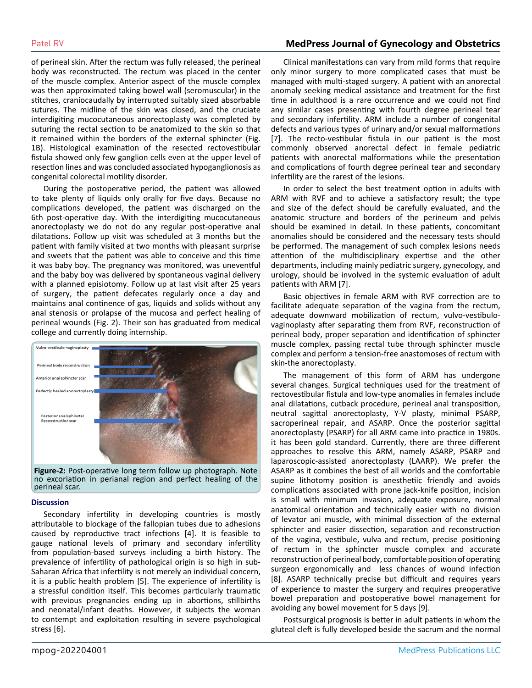#### Patel RV **MedPress Journal of Gynecology and Obstetrics**

of perineal skin. After the rectum was fully released, the perineal body was reconstructed. The rectum was placed in the center of the muscle complex. Anterior aspect of the muscle complex was then approximated taking bowel wall (seromuscular) in the stitches, craniocaudally by interrupted suitably sized absorbable sutures. The midline of the skin was closed, and the cruciate interdigiting mucocutaneous anorectoplasty was completed by suturing the rectal section to be anatomized to the skin so that it remained within the borders of the external sphincter (Fig. 1B). Histological examination of the resected rectovestibular fistula showed only few ganglion cells even at the upper level of resection lines and was concluded associated hypoganglionosis as congenital colorectal motility disorder.

During the postoperative period, the patient was allowed to take plenty of liquids only orally for five days. Because no complications developed, the patient was discharged on the 6th post-operative day. With the interdigiting mucocutaneous anorectoplasty we do not do any regular post-operative anal dilatations. Follow up visit was scheduled at 3 months but the patient with family visited at two months with pleasant surprise and sweets that the patient was able to conceive and this time it was baby boy. The pregnancy was monitored, was uneventful and the baby boy was delivered by spontaneous vaginal delivery with a planned episiotomy. Follow up at last visit after 25 years of surgery, the patient defecates regularly once a day and maintains anal continence of gas, liquids and solids without any anal stenosis or prolapse of the mucosa and perfect healing of perineal wounds (Fig. 2). Their son has graduated from medical college and currently doing internship.



**Figure-2:** Post-operative long term follow up photograph. Note no excoriation in perianal region and perfect healing of the perineal scar.

#### **Discussion**

Secondary infertility in developing countries is mostly attributable to blockage of the fallopian tubes due to adhesions caused by reproductive tract infections [4]. It is feasible to gauge national levels of primary and secondary infertility from population-based surveys including a birth history. The prevalence of infertility of pathological origin is so high in sub-Saharan Africa that infertility is not merely an individual concern, it is a public health problem [5]. The experience of infertility is a stressful condition itself. This becomes particularly traumatic with previous pregnancies ending up in abortions, stillbirths and neonatal/infant deaths. However, it subjects the woman to contempt and exploitation resulting in severe psychological stress [6].

Clinical manifestations can vary from mild forms that require only minor surgery to more complicated cases that must be managed with multi-staged surgery. A patient with an anorectal anomaly seeking medical assistance and treatment for the first time in adulthood is a rare occurrence and we could not find any similar cases presenting with fourth degree perineal tear and secondary infertility. ARM include a number of congenital defects and various types of urinary and/or sexual malformations [7]. The recto-vestibular fistula in our patient is the most commonly observed anorectal defect in female pediatric patients with anorectal malformations while the presentation and complications of fourth degree perineal tear and secondary infertility are the rarest of the lesions.

In order to select the best treatment option in adults with ARM with RVF and to achieve a satisfactory result; the type and size of the defect should be carefully evaluated, and the anatomic structure and borders of the perineum and pelvis should be examined in detail. In these patients, concomitant anomalies should be considered and the necessary tests should be performed. The management of such complex lesions needs attention of the multidisciplinary expertise and the other departments, including mainly pediatric surgery, gynecology, and urology, should be involved in the systemic evaluation of adult patients with ARM [7].

Basic objectives in female ARM with RVF correction are to facilitate adequate separation of the vagina from the rectum, adequate downward mobilization of rectum, vulvo-vestibulovaginoplasty after separating them from RVF, reconstruction of perineal body, proper separation and identification of sphincter muscle complex, passing rectal tube through sphincter muscle complex and perform a tension-free anastomoses of rectum with skin-the anorectoplasty.

The management of this form of ARM has undergone several changes. Surgical techniques used for the treatment of rectovestibular fistula and low-type anomalies in females include anal dilatations, cutback procedure, perineal anal transposition, neutral sagittal anorectoplasty, Y-V plasty, minimal PSARP, sacroperineal repair, and ASARP. Once the posterior sagittal anorectoplasty (PSARP) for all ARM came into practice in 1980s. it has been gold standard. Currently, there are three different approaches to resolve this ARM, namely ASARP, PSARP and laparoscopic-assisted anorectoplasty (LAARP). We prefer the ASARP as it combines the best of all worlds and the comfortable supine lithotomy position is anesthetiic friendly and avoids complications associated with prone jack-knife position, incision is small with minimum invasion, adequate exposure, normal anatomical orientation and technically easier with no division of levator ani muscle, with minimal dissection of the external sphincter and easier dissection, separation and reconstruction of the vagina, vestibule, vulva and rectum, precise positioning of rectum in the sphincter muscle complex and accurate reconstruction of perineal body, comfortable position of operating surgeon ergonomically and less chances of wound infection [8]. ASARP technically precise but difficult and requires years of experience to master the surgery and requires preoperative bowel preparation and postoperative bowel management for avoiding any bowel movement for 5 days [9].

Postsurgical prognosis is better in adult patients in whom the gluteal cleft is fully developed beside the sacrum and the normal